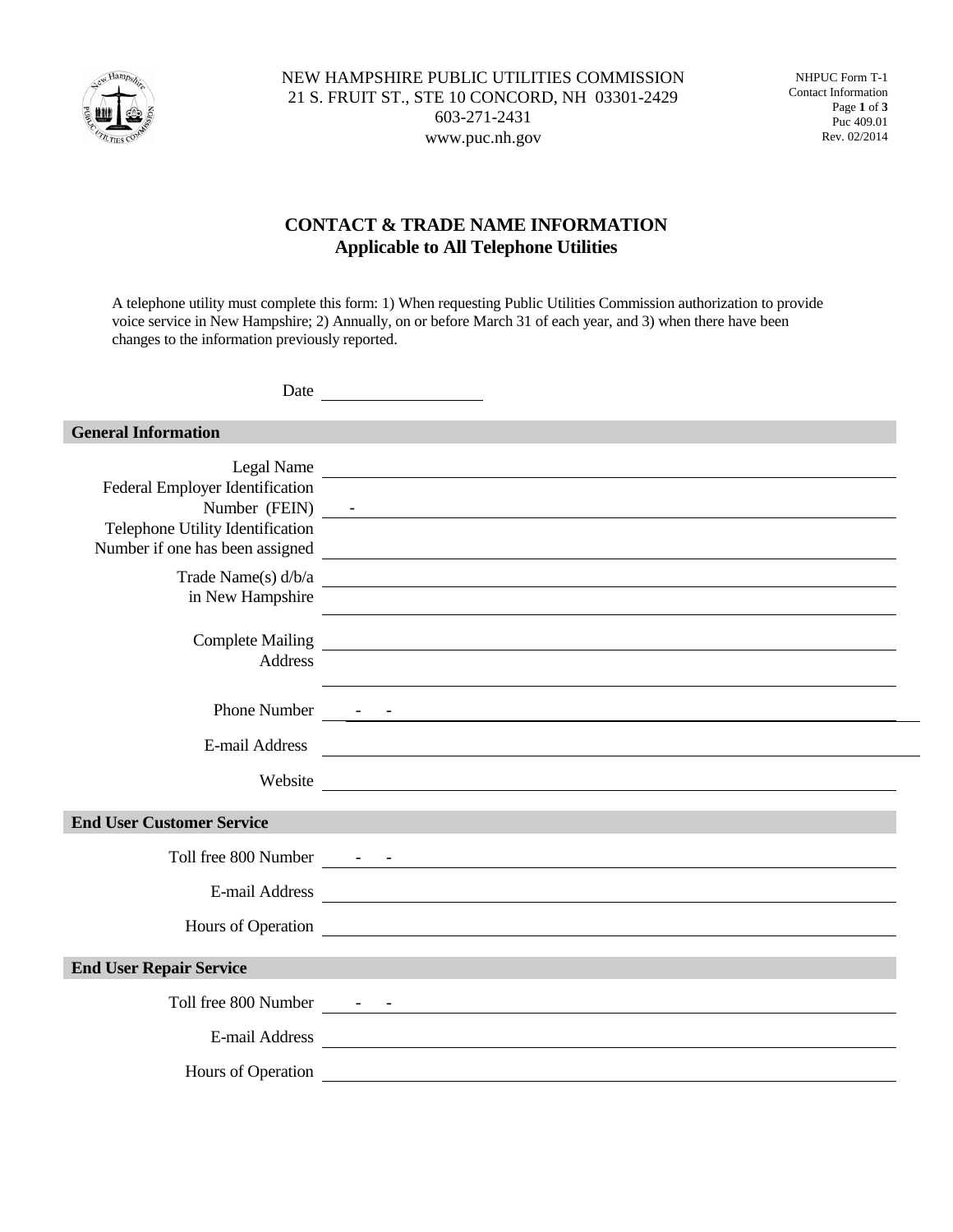

NHPUC Form T-1 Contact Information Page **1** of **3** Puc 409.01 Rev. 02/2014

## **CONTACT & TRADE NAME INFORMATION Applicable to All Telephone Utilities**

A telephone utility must complete this form: 1) When requesting Public Utilities Commission authorization to provide voice service in New Hampshire; 2) Annually, on or before March 31 of each year, and 3) when there have been changes to the information previously reported.

| <b>General Information</b>                                                                             |                                                                                                                                                                                                                               |
|--------------------------------------------------------------------------------------------------------|-------------------------------------------------------------------------------------------------------------------------------------------------------------------------------------------------------------------------------|
| Federal Employer Identification<br>Telephone Utility Identification<br>Number if one has been assigned | Legal Name<br>Number (FEIN) -<br><u> Andreas Andreas Andreas Andreas Andreas Andreas Andreas Andreas Andreas Andreas Andreas Andreas Andreas Andr</u>                                                                         |
| Trade Name(s) d/b/a<br>in New Hampshire                                                                |                                                                                                                                                                                                                               |
| <b>Address</b>                                                                                         |                                                                                                                                                                                                                               |
|                                                                                                        |                                                                                                                                                                                                                               |
| E-mail Address                                                                                         |                                                                                                                                                                                                                               |
| Website                                                                                                |                                                                                                                                                                                                                               |
| <b>End User Customer Service</b>                                                                       |                                                                                                                                                                                                                               |
|                                                                                                        |                                                                                                                                                                                                                               |
| E-mail Address                                                                                         |                                                                                                                                                                                                                               |
|                                                                                                        | Hours of Operation 2008 and 2008 and 2008 and 2008 and 2008 and 2008 and 2008 and 2008 and 2008 and 2008 and 2008 and 2008 and 2008 and 2008 and 2008 and 2008 and 2008 and 2008 and 2008 and 2008 and 2008 and 2008 and 2008 |
| <b>End User Repair Service</b>                                                                         |                                                                                                                                                                                                                               |
|                                                                                                        |                                                                                                                                                                                                                               |
|                                                                                                        | E-mail Address                                                                                                                                                                                                                |
| Hours of Operation                                                                                     | <u> 1989 - John Stein, marking and de broad and de broad and de broad and de broad and de broad and de broad and</u>                                                                                                          |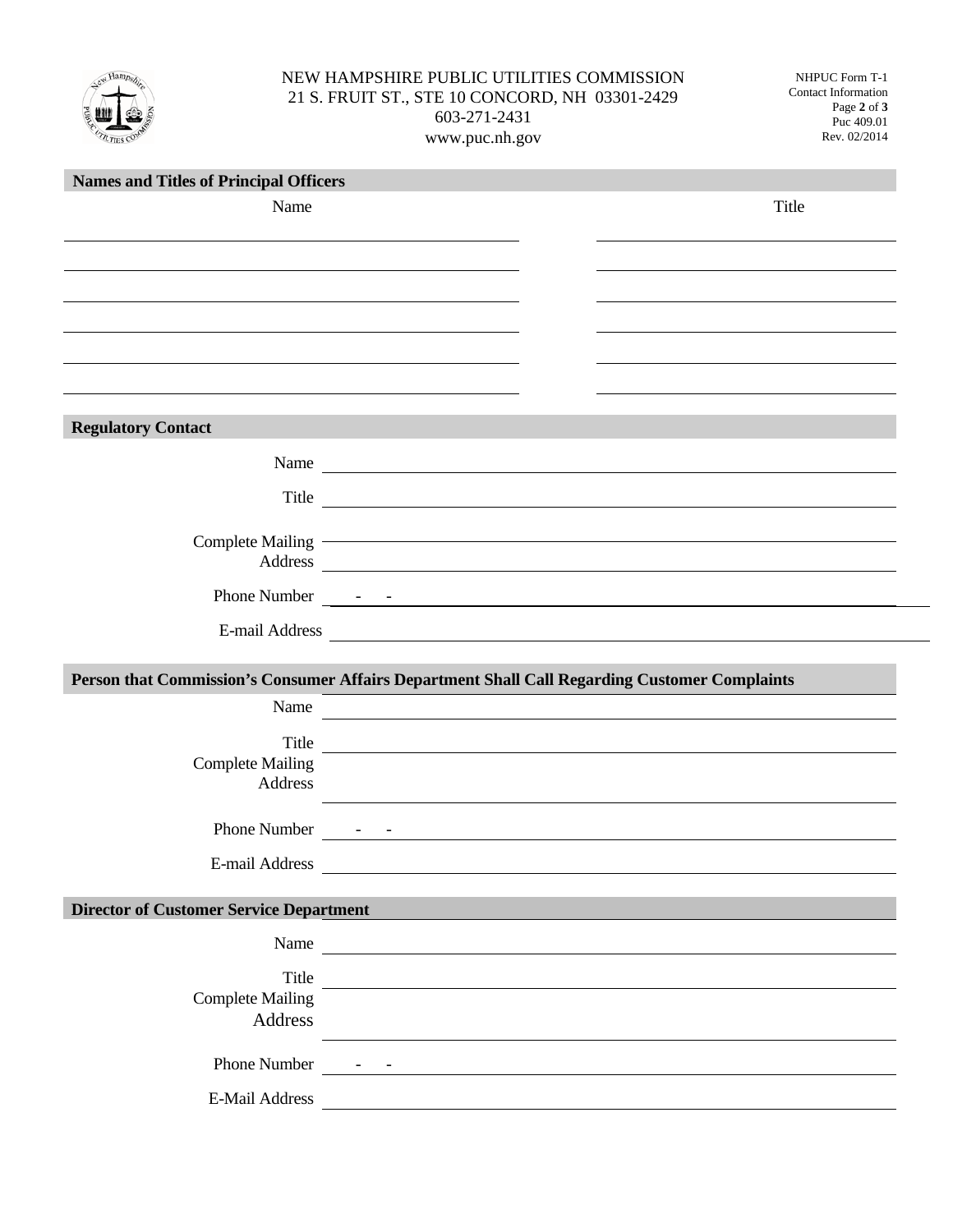

## NEW HAMPSHIRE PUBLIC UTILITIES COMMISSION 21 S. FRUIT ST., STE 10 CONCORD, NH 03301-2429 603-271-2431 www.puc.nh.gov

NHPUC Form T-1 Contact Information Page **2** of **3** Puc 409.01 Rev. 02/2014

| <b>Names and Titles of Principal Officers</b>                                                 |                                                                                                                                                                                                                                |       |
|-----------------------------------------------------------------------------------------------|--------------------------------------------------------------------------------------------------------------------------------------------------------------------------------------------------------------------------------|-------|
| Name                                                                                          |                                                                                                                                                                                                                                | Title |
|                                                                                               |                                                                                                                                                                                                                                |       |
|                                                                                               |                                                                                                                                                                                                                                |       |
|                                                                                               |                                                                                                                                                                                                                                |       |
|                                                                                               |                                                                                                                                                                                                                                |       |
|                                                                                               |                                                                                                                                                                                                                                |       |
|                                                                                               |                                                                                                                                                                                                                                |       |
|                                                                                               |                                                                                                                                                                                                                                |       |
| <b>Regulatory Contact</b>                                                                     |                                                                                                                                                                                                                                |       |
|                                                                                               | Name                                                                                                                                                                                                                           |       |
|                                                                                               |                                                                                                                                                                                                                                |       |
|                                                                                               | Title                                                                                                                                                                                                                          |       |
|                                                                                               | Complete Mailing expression of the Mailing of the Mailing of the Mailing of the Mailing of the Mailing of the Mailing of the Mailing of the Mailing of the Mailing of the Mailing of the Mailing of the Mailing of the Mailing |       |
|                                                                                               | Address and the contract of the contract of the contract of the contract of the contract of the contract of the contract of the contract of the contract of the contract of the contract of the contract of the contract of th |       |
|                                                                                               |                                                                                                                                                                                                                                |       |
|                                                                                               |                                                                                                                                                                                                                                |       |
|                                                                                               |                                                                                                                                                                                                                                |       |
| Person that Commission's Consumer Affairs Department Shall Call Regarding Customer Complaints |                                                                                                                                                                                                                                |       |
| Name                                                                                          | <u> 1989 - Johann Marie Barn, mars an t-Amerikaansk kommunist (</u>                                                                                                                                                            |       |
|                                                                                               |                                                                                                                                                                                                                                |       |
| <b>Complete Mailing</b>                                                                       | Title                                                                                                                                                                                                                          |       |
| Address                                                                                       | <u> 1989 - Johann Stein, fransk politiker (d. 1989)</u>                                                                                                                                                                        |       |
|                                                                                               |                                                                                                                                                                                                                                |       |
|                                                                                               |                                                                                                                                                                                                                                |       |
| E-mail Address                                                                                |                                                                                                                                                                                                                                |       |
| <b>Director of Customer Service Department</b>                                                |                                                                                                                                                                                                                                |       |
|                                                                                               |                                                                                                                                                                                                                                |       |
|                                                                                               | Name                                                                                                                                                                                                                           |       |
|                                                                                               | Title                                                                                                                                                                                                                          |       |
| <b>Complete Mailing</b><br>Address                                                            |                                                                                                                                                                                                                                |       |
|                                                                                               | <u> 1980 - Johann Barn, mars ann an t-Amhain Aonaichte ann an t-Aonaichte ann an t-Aonaichte ann an t-Aonaichte a</u>                                                                                                          |       |
|                                                                                               |                                                                                                                                                                                                                                |       |
|                                                                                               |                                                                                                                                                                                                                                |       |
|                                                                                               | E-Mail Address                                                                                                                                                                                                                 |       |